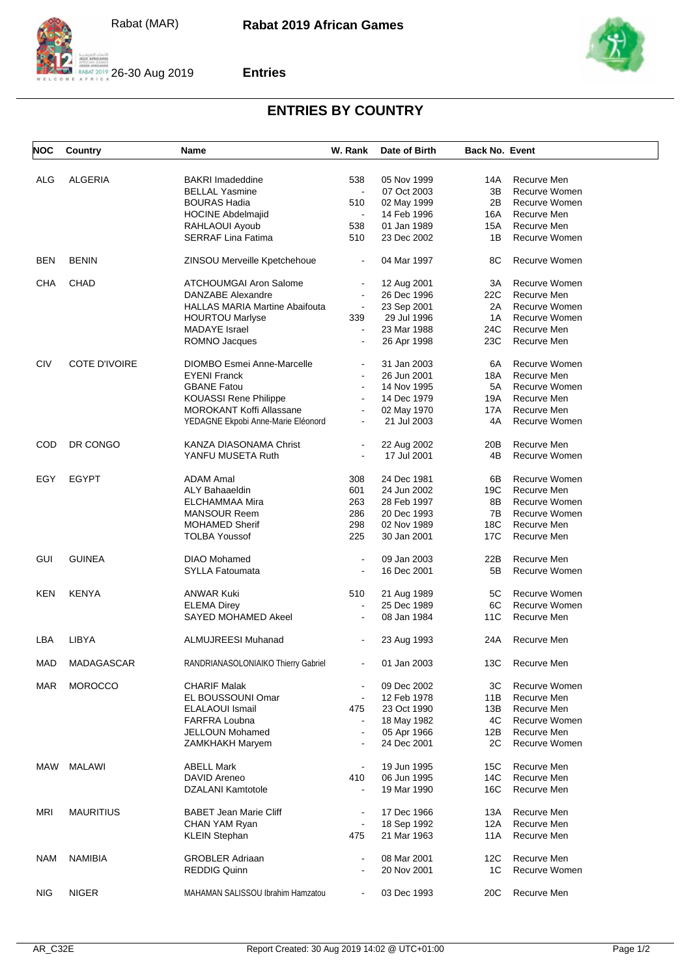



## **Entries**

## **ENTRIES BY COUNTRY**

| <b>NOC</b> | Country              | Name                                  | W. Rank        | Date of Birth | <b>Back No. Event</b> |               |
|------------|----------------------|---------------------------------------|----------------|---------------|-----------------------|---------------|
|            |                      |                                       |                |               |                       |               |
| ALG        | <b>ALGERIA</b>       | <b>BAKRI Imadeddine</b>               | 538            | 05 Nov 1999   | 14A                   | Recurve Men   |
|            |                      | <b>BELLAL Yasmine</b>                 | $\blacksquare$ | 07 Oct 2003   | 3B                    | Recurve Women |
|            |                      | <b>BOURAS Hadia</b>                   | 510            | 02 May 1999   | 2B                    | Recurve Women |
|            |                      | <b>HOCINE Abdelmajid</b>              | $\blacksquare$ | 14 Feb 1996   | 16A                   | Recurve Men   |
|            |                      | RAHLAOUI Ayoub                        | 538            | 01 Jan 1989   | 15A                   | Recurve Men   |
|            |                      |                                       |                |               |                       |               |
|            |                      | <b>SERRAF Lina Fatima</b>             | 510            | 23 Dec 2002   | 1B                    | Recurve Women |
| BEN        | <b>BENIN</b>         | ZINSOU Merveille Kpetchehoue          | $\blacksquare$ | 04 Mar 1997   | 8C                    | Recurve Women |
| CHA        | <b>CHAD</b>          | <b>ATCHOUMGAI Aron Salome</b>         | $\blacksquare$ | 12 Aug 2001   | ЗΑ                    | Recurve Women |
|            |                      | DANZABE Alexandre                     |                | 26 Dec 1996   | 22C                   | Recurve Men   |
|            |                      | <b>HALLAS MARIA Martine Abaifouta</b> | $\blacksquare$ | 23 Sep 2001   | 2A                    | Recurve Women |
|            |                      | <b>HOURTOU Marlyse</b>                | 339            | 29 Jul 1996   | 1A                    | Recurve Women |
|            |                      | <b>MADAYE</b> Israel                  | $\blacksquare$ | 23 Mar 1988   | 24C                   | Recurve Men   |
|            |                      | ROMNO Jacques                         | $\blacksquare$ | 26 Apr 1998   | 23C                   | Recurve Men   |
| <b>CIV</b> | <b>COTE D'IVOIRE</b> | <b>DIOMBO Esmei Anne-Marcelle</b>     |                | 31 Jan 2003   | 6A                    | Recurve Women |
|            |                      |                                       |                |               |                       |               |
|            |                      | <b>EYENI Franck</b>                   | $\blacksquare$ | 26 Jun 2001   | 18A                   | Recurve Men   |
|            |                      | <b>GBANE Fatou</b>                    |                | 14 Nov 1995   | 5A                    | Recurve Women |
|            |                      | KOUASSI Rene Philippe                 |                | 14 Dec 1979   | 19A                   | Recurve Men   |
|            |                      | MOROKANT Koffi Allassane              | $\blacksquare$ | 02 May 1970   | 17A                   | Recurve Men   |
|            |                      | YEDAGNE Ekpobi Anne-Marie Eléonord    | $\blacksquare$ | 21 Jul 2003   | 4A                    | Recurve Women |
|            |                      |                                       |                |               |                       |               |
| COD        | DR CONGO             | KANZA DIASONAMA Christ                |                | 22 Aug 2002   | 20B                   | Recurve Men   |
|            |                      | YANFU MUSETA Ruth                     |                | 17 Jul 2001   | 4B                    | Recurve Women |
|            |                      |                                       |                |               |                       |               |
| EGY        | <b>EGYPT</b>         | <b>ADAM Amal</b>                      | 308            | 24 Dec 1981   | 6В                    | Recurve Women |
|            |                      | ALY Bahaaeldin                        | 601            | 24 Jun 2002   | 19C                   | Recurve Men   |
|            |                      | ELCHAMMAA Mira                        | 263            | 28 Feb 1997   | 8B                    | Recurve Women |
|            |                      | MANSOUR Reem                          | 286            | 20 Dec 1993   | 7B                    | Recurve Women |
|            |                      | <b>MOHAMED Sherif</b>                 | 298            | 02 Nov 1989   | 18C                   | Recurve Men   |
|            |                      | <b>TOLBA Youssof</b>                  | 225            | 30 Jan 2001   | 17C                   | Recurve Men   |
| GUI        | <b>GUINEA</b>        | DIAO Mohamed                          | $\blacksquare$ |               | 22B                   | Recurve Men   |
|            |                      |                                       |                | 09 Jan 2003   |                       |               |
|            |                      | <b>SYLLA Fatoumata</b>                | $\blacksquare$ | 16 Dec 2001   | 5B                    | Recurve Women |
| KEN        | <b>KENYA</b>         | ANWAR Kuki                            | 510            | 21 Aug 1989   | 5C                    | Recurve Women |
|            |                      | <b>ELEMA Direy</b>                    | $\blacksquare$ | 25 Dec 1989   | 6C                    | Recurve Women |
|            |                      | SAYED MOHAMED Akeel                   |                | 08 Jan 1984   | 11C                   | Recurve Men   |
| LBA        | LIBYA                | ALMUJREESI Muhanad                    |                | 23 Aug 1993   | 24A                   | Recurve Men   |
|            |                      |                                       |                |               |                       |               |
| MAD        | MADAGASCAR           | RANDRIANASOLONIAIKO Thierry Gabriel   |                | 01 Jan 2003   | 13C                   | Recurve Men   |
| MAR        | <b>MOROCCO</b>       | <b>CHARIF Malak</b>                   | $\blacksquare$ | 09 Dec 2002   | ЗC                    | Recurve Women |
|            |                      | EL BOUSSOUNI Omar                     | $\blacksquare$ | 12 Feb 1978   | 11B                   | Recurve Men   |
|            |                      | <b>ELALAOUI Ismail</b>                | 475            | 23 Oct 1990   | 13B                   | Recurve Men   |
|            |                      | <b>FARFRA Loubna</b>                  | $\blacksquare$ |               | 4C                    | Recurve Women |
|            |                      |                                       |                | 18 May 1982   |                       |               |
|            |                      | JELLOUN Mohamed                       | $\blacksquare$ | 05 Apr 1966   | 12B                   | Recurve Men   |
|            |                      | ZAMKHAKH Maryem                       |                | 24 Dec 2001   | 2C                    | Recurve Women |
| MAW        | MALAWI               | <b>ABELL Mark</b>                     | $\blacksquare$ | 19 Jun 1995   | 15C                   | Recurve Men   |
|            |                      | DAVID Areneo                          | 410            | 06 Jun 1995   | 14C                   | Recurve Men   |
|            |                      |                                       |                |               |                       |               |
|            |                      | DZALANI Kamtotole                     | L,             | 19 Mar 1990   | 16C                   | Recurve Men   |
| <b>MRI</b> | <b>MAURITIUS</b>     | <b>BABET Jean Marie Cliff</b>         | $\blacksquare$ | 17 Dec 1966   | 13A                   | Recurve Men   |
|            |                      | CHAN YAM Ryan                         | $\blacksquare$ | 18 Sep 1992   | 12A                   | Recurve Men   |
|            |                      | <b>KLEIN Stephan</b>                  | 475            | 21 Mar 1963   | 11A                   | Recurve Men   |
| NAM        | <b>NAMIBIA</b>       | <b>GROBLER Adriaan</b>                |                | 08 Mar 2001   | 12C                   | Recurve Men   |
|            |                      | <b>REDDIG Quinn</b>                   |                | 20 Nov 2001   | 1C                    | Recurve Women |
|            |                      |                                       |                |               |                       |               |
| NIG        | <b>NIGER</b>         | MAHAMAN SALISSOU Ibrahim Hamzatou     | $\blacksquare$ | 03 Dec 1993   | 20C                   | Recurve Men   |